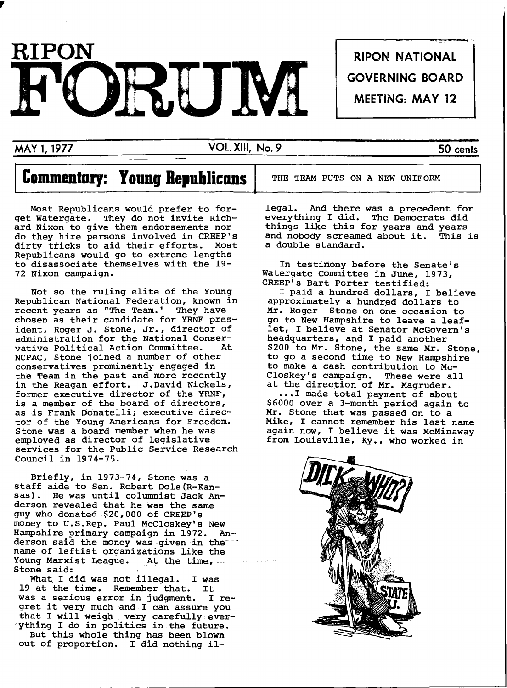

,

MAY 1, 1977 VOl. XIII, No.9 50 cents

# **Commentary: Young Repuhlicons**

Most Republicans would prefer to forget Watergate. They do not invite Richard Nixon to give them endorsements nor do they hire persons involved in CREEP's dirty tricks to aid their efforts. Most Republicans would go to extreme lengths to disassociate themselves with the 19- 72 Nixon campaign.

Not so the ruling elite of the Young Republican National Federation, known in recent years as "The Team." They have chosen as their candidate for YRNF president, Roger J. Stone, Jr., director of administration for the National Conservative Political Action Committee. NCPAC, Stone joined a number of other conservatives prominently engaged in the Team in the past and more recently in the Reagan effort. J.David Nickels, former executive director of the YRNF, is a member of the board of directors, as is Frank Donatelli; executive director of the Young Americans for Freedom. Stone was a board member when he was employed as director of legislative services for the Public Service Research Council in 1974-75.

Briefly, in 1973-74, Stone was a staff aide to Sen. Robert Dole(R-Kansas). He was until columnist Jack Anderson revealed that he was the same guy who donated \$20,000 of CREEP's money to U.S.Rep. Paul McCloskey's New Hampshire primary campaign in 1972. Anderson said the money. was-given in the" name of leftist organizations like the<br>Young Marxist League. At the time, Young Marxist League. At the time,<br>Stone said:<br>What I did was not illegal. I was

What I did was not illegal. I was<br>at the time. Remember that. It 19 at the time. Remember that. It<br>was a serious error in judgment. I rewas a serious error in judgment. gret it very much and I can assure you that I will weigh very carefully everything I do in politics in the future.

But this whole thing has been blown out of proportion. I did nothing ilTHE TEAM PUTS ON A NEW UNIFORM

legal. And there was a precedent for everything I did. The Democrats did things like this for years and years<br>and nobody screamed about it. This is and nobody screamed about it. a double standard.

GOVERNING BOARD

MEETING: MAY 12

In testimony before the Senate's Watergate Committee in June, 1973, CREEP's Bart Porter testified:

I paid a hundred dollars, I believe approximately a hundred dollars to Mr. Roger Stone on one occasion to go to New Hampshire to leave a leaflet, I believe at Senator McGovern's headquarters, and I paid another \$200 to Mr. Stone, the same Mr. Stone, to go a second time to New Hampshire to make a cash contribution to Mc-Closkey's campaign. These were all at the direction of Mr. Magruder.

... I made total payment of about \$6000 over a 3-month period again to Mr. Stone that was passed on to a Mike, I cannot remember his last name again now, I believe it was McMinaway from Louisville, Ky., who worked in

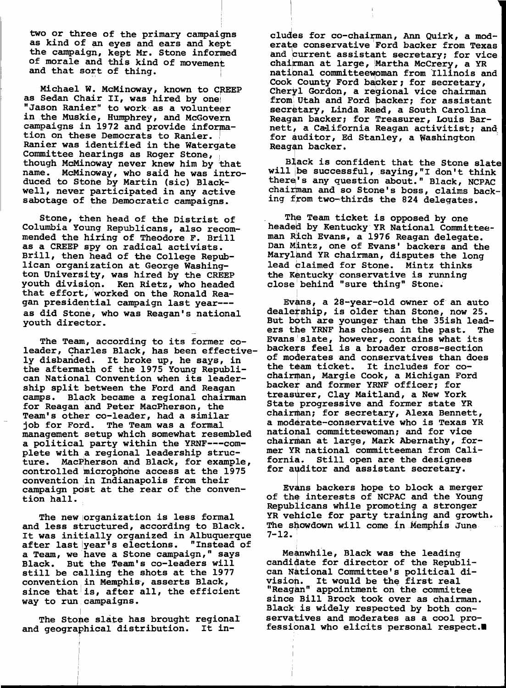two or three of the primary campaigns as kind of an eyes and ears and kept the campaign, kept Mr. Stone informed of morale and this kind of movement and that sort of thing.

Michael W. McMinoway, known to CREEP<br>as Sedan Chair II, was hired by one "Jason Ranier" to work as a volunteer in the Muskie, Humphrey, and McGovern campaigns in 1972 and provide information on these Democrats to Ranier. Ranier was identified in the Watergate Committee hearings as Roger Stone, though McMinoway never knew him by that name. McMinoway, who said he was introduced to Stone by Martin (sic) Blackwell, never participated in any active sabotage of the Democratic campaigns.

Stone, then head of the Distrist of Columbia Young Republicans, also recommended the hiring of Theodore F. Brill as a CREEP spy on radical activists. Brill, then head of the College Republican organization at George Washington University, was hired by the CREEP youth division. Ken Rietz, who headed that effort, "worked on the Ronald Reagan presidential campaign last year-- as did Stone, who was Reagan's national youth director.

The Team, according to its former coleader, Charles Black, has been effectively disbanded. It broke up, he says, in the aftermath of the 1975 Young Republican National Convention when its leadership split between the Ford and Reagan camps. Black became a regional chairman for Reagan and Peter MacPherson, the Team's other co-leader, had a similar job for Ford. The Team was a formal management setup which somewhat resembled a political party within the YRNF---complete with a regional leadership struc-<br>ture. MacPherson and Black, for example MacPherson and Black, for example, controlled microphone access at the 1975 convention in Indianapolis from their campaign pdst at the rear of the convention hall.

The new organization is less formal and less structured, according to Black. It was initially organized in Albuquerque after last year<sup>1</sup>s elections. "Instead of a Team, we have a Stone campaign," says Black. But the Team's co-leaders will still be calling the shots at the 1977 convention in Memphis, asserts Black, since that is, after all, the efficient way to run campaigns.

The Stone slate has brought regional and geographical distribution. It includes for co-chairman, Ann Quirk, a moderate conservative Ford backer from Texas and current assistant secretary; for vice chairman at large, Martha McCrery, a YR national committeewoman from Illinois and Cook County Ford backer; for secretary, Cheryl Gordon, a regional vice chairman from Utah and Ford backer; for assistant secretary, Linda Reed, a South Carolina Reagan backer; for Treasurer, Louis Barnett, a California Reagan activitist; and for auditor, Ed Stanley, a Washington<br>Reagan backer.

B]ack is confident that the Stone slate will be successful, saying, "I don't think there's any question about." Black, NCPAC chairman and so Stone's boss, claims backing from two-thirds the 824 delegates.

The Team ticket is opposed by one headed by Kentucky YR National Committeeman Rich Evans, a 1976 Reagan delegate. Dan Mintz, one of Evans' backers and the Maryland YR chairman, disputes the long lead claimed for Stone. Mintz thinks the Kentucky conservative is running close behind "sure thing" Stone.

Evans, a 28-year-old owner of an auto dealetship, is older than Stone, now 25. But both are younger than the 35ish leaders the YRNF has chosen in the past. The Evans'slate, however, contains what its backers feel is a broader cross-section of moderates and conservatives than does the team ticket. It includes for co chairman, Margie Cook, a Michigan Ford backer and former YRNF officer; for treasurer, Clay Maitland, a New York State progressive and former state YR chairman; for secretary, Alexa Bennett, a moderate-conservative who is Texas YR national committeewoman; and for vice chairman at large, Mark Abernathy, former YR national committeeman from California. Still open are the designees for auditor and assistant secretary.

Evans backers hope to block a merger of the interests of NCPAC and the Young Republicans while promoting a stronger YR vehicle for party training and growth. The showdown will come in Memphis June  $7 - 12.$ 

Meanwhile, Black was the leading candidate for director of the Republican National Committee's political di can wational committee s political discussion. It would be the first real "Reagan" appointment on the committee since Bill Brock took over as chairman. Black' is widely respected by both conservatives and moderates as a cool professional who elicits personal respect.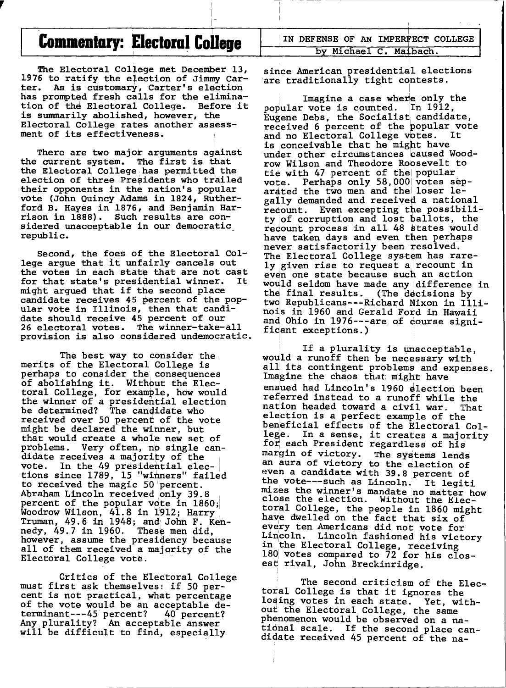### T **COlDDlenlary: EI ecloral College** ,

-

<sup>I</sup>-- ----

I

*r* 

The Electoral College met December 13, 1976 to ratify the election of Jimmy Car-<br>ter. As is customary, Carter's election As is customary, Carter's election has prompted fresh calls for the elimination of the Electoral College. Before it is summarily abolished, however, the Electoral College rates another assessment of its effectiveness.

I There are two major arguments against the current system. The first is that the Electoral College has permitted the election of three Presidents who trailed their opponents in the nation's popular vote (John Quincy Adams in 1824, Rutherford B. Hayes in 1876, and Benjamin Harrison in 1888). Such results are considered unacceptable in our democratic\_ republic.

Second, the foes of the Electoral College argue that 'it unfairly cancels out the votes in each state that are not cast<br>for that state's presidential winner. It for that state's presidential winner. might argued that if the second place candidate receives 45 percent of the popular vote in Illinois, then that candidate should receive 45 percent of our 26 electoral votes. The winner-take-a11 provision is also considered undemocratic.

The best way to consider the merits of the Electoral College is perhaps to consider the consequences of abolishing it. Withbut the Electoral College, for example, how would the winner of a presidential election be determined? The candidate who received over 50 percent of the vote might be declared the winner, but that would create a whole new set of problems. Very often, np single candidate receives a majority of the vote. In the 49 presidential elections since 1789, 15 "wirmers" failed to received the magic 50 percent.<br>Abraham Lincoln received only 39.8 Abraham Lincoln received only 39.8<br>percent of the popular vote in 1860; Woodrow Wilson, 41.8 in 1912; Harry Truman, 49.6 in 1948; and' John F. Ken- $\frac{1}{2}$  and  $\frac{1}{2}$ ,  $\frac{1}{4}$ ,  $\frac{1}{4}$ ,  $\frac{1}{4}$ ,  $\frac{1}{4}$ ,  $\frac{1}{4}$ ,  $\frac{1}{4}$ ,  $\frac{1}{4}$ ,  $\frac{1}{4}$ ,  $\frac{1}{4}$ ,  $\frac{1}{4}$ ,  $\frac{1}{4}$ ,  $\frac{1}{4}$ ,  $\frac{1}{4}$ ,  $\frac{1}{4}$ ,  $\frac{1}{4}$ ,  $\frac{1}{4}$ ,  $\frac{1}{4}$ ,  $\frac{1}{4}$ however, assume the presidency because all of them received a majority of the Electoral College vote.

Critics of the Electoral College must first ask themselves: if 50 percent is not practical, what percentage of the vote would be an acceptable de-<br>terminant---45 percent? 40 percent? terminant---45 percent? 40 percent? Any. plurality? An acceptable answer will be difficult to find, especially

IN DEFENSE OF AN IMPERFECT COLLEGE by Michael C. Maibach.

I

~

since American presidential elections are traditionally tight contests.

I ,

Imagine a case where only the  $p$ opular vote is counted. In 1912, Eugene Debs, the Socialist candidate, received 6 percent of the popular vote<br>and no Electoral College votes. It and no Electoral College votes. is ,conceivable that he might have under other circumstances caused Woodrow Wilson and Theodore Robsevelt to tie with 47 percent of the popular vote. Perhaps only 58,000 votes separated the two men and thel loser legally demanded and received a national recount. Even excepting the possibi1ity of corruption and lost ballots, the redount process in all 48 states would have taken days and even then perhaps never satisfactorily been resolved. The Electoral College system has rarely,given rise to request alrecount in even one state because such an action would seldom have made any difference in the final results. (The decisions by two Republicans---Richard Nixon in Illinois in 1960 and Gerald Ford in Hawaii and Ohio in 1976---are of dourse signi-<br>fidant exceptions.)

If a plurality is unacceptable, would a runoff then be necessary with all its contingent problems and expenses. Imagine the chaos that: might have ensued had Lincoln's 1960 election been referred instead to a runoff while the nation headed toward a civil war. That election is a perfect example of the beneficial effects of the Electoral Col-<br>lege. In a sense, it creates a majority for each President regardless of his margin of victory. The systems lends an aura of victory to the election of even a candidate with 39.8 percent of the vote---such as Lincoln. It 1egiti mizes the winner's mandate no matter how close the election. Without the Electoral College, the people in 1860 might have dwelled on the fact that six of every ten Americans did not vote for Lincoln. Lincoln fashioned his victory in 'the Electoral College, receiving  $180$  votes compared to 72 for his closest rival, John Breckinridge.

I in the second contract of the second contract of the second contract of the second contract of the second contract of the second contract of the second contract of the second contract of the second contract of the second

The second criticism of the Electoral College is that it ignores the losing votes in each state. Yet, with*out* the Electoral College, the same phenomenon would be observed on a national scale. If the second place candidate received 45 percent of the na-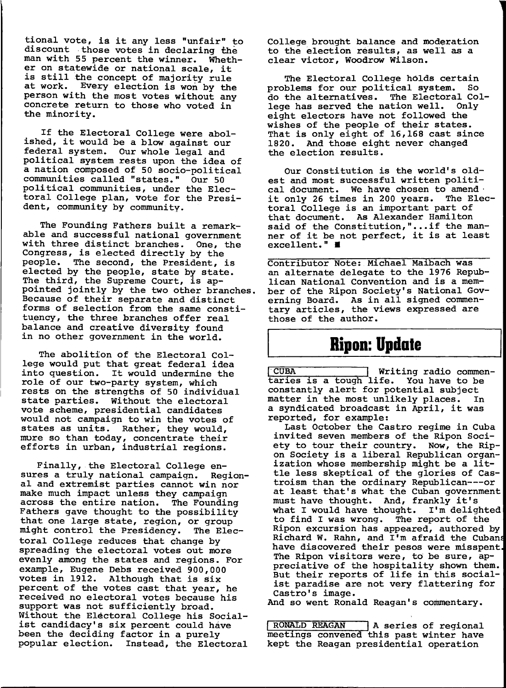tional vote, is it any less "unfair" to discount those votes in declaring the man with 55 percent the winner. Whether on statewide or national scale, it is still the concept of majority rule at work. Every election is won by the person with the most votes without any concrete return to those who voted in the minority.

If the Electoral College were abolished, it would be a blow against our federal system. Our whole legal and political system rests upon the idea of a nation composed of 50 socio-political communities called "states." Our 50 political communities, under the Electoral College plan, vote for the President, community by community.

The Founding Fathers built a remarkable and successful national government with three distinct branches. One, the Congress, is elected directly by the people. The second, the President, is elected by the people, state by state. The third, the Supreme Court, is appointed jointly by the two other branches. Because of their separate and distinct forms of selection from the same constituency, the three branches offer real balance and creative diversity found in no other government in the world.

The abolition of the Electoral College would put that great federal idea into question. It would undermine the role of our two-party system, which rests on the strengths of 50 individual state parties. Without the electoral vote scheme, presidential candidates would not campaign to win the votes of states as units. Rather, they would, more so than today, concentrate their efforts in urban, industrial regions.

Finally, the Electoral College ensures a truly national campaign. Regional and extremist parties cannot win nor make much impact unless they campaign across the entire nation. The Founding Fathers gave thought to the possibility that one large state, region, or group<br>might control the Presidency. The Elecmight control the Presidency. toral College reduces that change by spreading the electoral votes out more evenly among the states and regions. For example, Eugene Debs received 900,000 votes in 1912. Although that is six percent of the votes cast that year, he received no electoral votes because his support was not sufficiently broad. Without the Electoral College his Socialist candidacy's six percent could have been the deciding factor in a purely popular election. Instead, the Electoral College brought balance and moderation to the election results, as well as a clear victor, Woodrow Wilson.

The Electoral College holds certain<br>blems for our political system. So problems for our political system. do the alternatives. The Electoral College has served the nation well. Only eight electors have not followed the wishes of the people of their states. That is only eight of 16,168 cast since 1820. And those eight never changed the election results.

Our Constitution is the world's oldest and most successful written political document. We have chosen to amend . it only 26 times in 200 years. The Electoral College is an important part of that document. As Alexander Hamilton said of the Constitution,"...if the manner of it be not perfect, it is at least excellent."  $\blacksquare$ 

Contributor Note: Michael Maibach was an alternate delegate to the 1976 Republican National Convention and is a member of the Ripon Society's National Govber of the kipon bottery s Mational Coverance tary articles, the views expressed are those of the author.

# **Ripon: Update**

CUBA Writing radio commentaries is a tough life. You have to be constantly alert for potential subject matter in the most unlikely places. a syndicated broadcast in April, it was reported, for example:

Last October the Castro regime in Cuba invited seven members of the Ripon Society to tour their country. Now, the Ripon Society is a liberal Republican organization whose membership might be a little less skeptical of the glories of Castroism than the ordinary Republican---or at least that's what the Cuban government at least that s what the Cuban governm<br>must have thought. And, frankly it's what I would have thought. I'm delighted to find I was wrong. The report of the Ripon excursion has appeared, authored by Richard W. Rahn, and I'm afraid the Cuban have discovered their pesos were misspent. The Ripon visitors were, to be sure, appreciative of the hospitality shown them. But their reports of life in this socialist paradise are not very flattering for Castro's image.

And so went Ronald Reagan's commentary.

RONALD REAGAN | A series of regional meetings convened this past winter have kept the Reagan presidential operation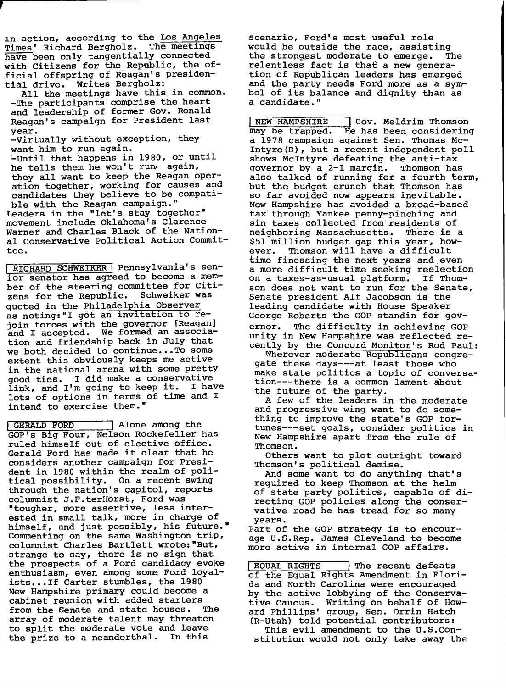1n action, according to the Los Angeles Times' Richard Bergholz. The meetings have been only tangentially connected with Citizens for the Republic, the official offspring of Reagan's presidential drive. Writes Bergholz:

*r* 

All the meetings have this in common. -The participants comprise the heart and leadership of former Gov. Ronald Reagan's campaign for President last year.

-Virtually without exception, they want him to run again.

~until that happens in 1980, or until he tells them he won't run again, they all want to keep the Reagan operation together, working for causes and candidates they believe to be compatible with the Reagan campaign."

Leaders in the "let's stay together" movement include Oklahoma's Clarence Warner and Charles Black of the National Conservative Political Action Committee.

I RICHARD SCHWEIKER I Pennsylvania's senior senator has agreed to become a member of the steering committee for Citi-<br>zens for the Republic. Schweiker was zens for the Republic. quoted in the Philadelphia Observer as noting:"I got an invitation to rejoin forces with the governor [Reagan] and I accepted. We formed an association and friendship back in July that we both decided to continue... To some extent this obviously keeps me active in the national arena with some pretty good ties. I did make a conservative link, and I'm going to keep it. I have lots of options in terms of time and I intend to exercise them."

GERALD FORD Alone among the GOP's Big Four, Nelson Rockefeller has ruled himself out of elective office. Gerald Ford has made it clear that he considers another campaign for President in 1980 within the realm of political possibility. On a recent swing through the nation's capitol, reports columnist J.F.terHorst, Ford was "tougher, more assertive, less interested in small talk, more in charge of himself, and just possibly, his future." Commenting on the same Washington trip, columnist Charles Bartlett wrote: "But, strange to say, there is no sign that the prospects of a Ford candidacy evoke enthusiasm, even among some Ford loyalists...If Carter stumbles, the 1980 New Hampshire primary could become a cabinet reunion with added starters<br>from the Senate and state houses. The from the Senate and state houses. array of moderate talent may threaten to split the moderate vote and leave the prize to a neanderthal. In this

scenario, Ford's most useful role would be outside the race, assisting<br>the strongest moderate to emerge. The the strongest moderate to emerge. relentless fact is tha£ a new generation of Republican leaders has emerged and the party needs Ford more as a symbol of its balance and dignity than as a candidate."

**INEW HAMPSHIRE GOV. Meldrim Thomson**<br>may be trapped. He has been considering He has been considering a 1978 campaign against Sen. Thomas Mc-Intyre(D), but a recent independent poll shows McIntyre defeating the anti-tax<br>governor by a 2-1 margin. Thomson has governor by a 2-1 margin. also talked of running for a fourth term, but the budget crunch that Thomson has so far avoided now appears inevitable. New Hampshire has avoided a broad-based tax through Yankee penny-pinching and sin taxes collected from residents of neighboring Massachusetts. There is a \$51 million budget gap this year, however. Thomson will have a difficult time finessing the next years and even a more difficult time seeking reelection on a taxes-as-usual platform. If Thomson does not want to run for the Senate, Senate president Alf Jacobson is the leading candidate with House Speaker George Roberts the GOP standin for governor. The difficulty in achieving GOP unity in New Hampshire was reflected recently by the Concord Monitor's Rod Paul:

Wherever moderate Republicans congregate these days---at least those who make state politics a topic of conversation---there is a common lament about the future of the party.

A few of the leaders in the moderate and progressive wing want to do something to improve the state's GOP fortunes---set goals, consider politics in New Hampshire apart from the rule of Thomson.

Others want to plot outright toward Thomson's political demise.

And some-want to do anything that's required to keep Thomson at the helm of state party politics, capable of directing GOP policies along the conservative road he has tread for so many years.

Part of the GOP strategy is to encourage U.S.Rep. James Cleveland to become more active in internal GOP affairs.

EQUAL RIGHTS The recent defeats of the Equal Rights Amendment in Florida and North Carolina were encouraged by the active lobbying of the Conservative Caucus. Writing on behalf of Howard Phillips' group, Sen. Orrin Hatch (R-Utah) told potential contributors:

This evil amendment to the U.S.Constitution would not only take away the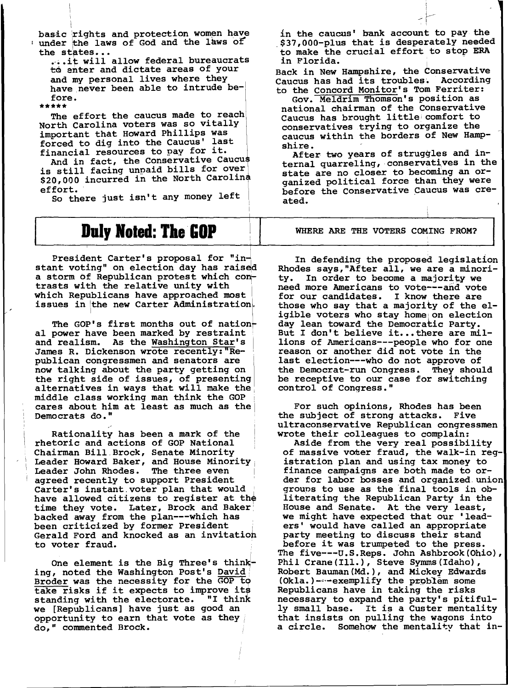basic rights and protection women have<br>under the laws of God and the laws of under the laws of God and the laws of<br>the states...

...it will allow federal bureaucrats to enter and dictate areas of your and my personal lives where they have never been able to intrude before.<br>\*\*\*\*\*

The effort the caucus made to reach North Carolina voters was so vitally important that Howard Phillips was  $fored to dig into the Caucus' last$ important that Howard Phillips was<br>forced to dig into the Caucus' last<br>financial resources to pay for it.<br>And in fact. the Conservative Caucus financial resources to pay for it.<br>And in fact, the Conservative Caucus

is still facing unpaid bills for over \$20,000 incurred in the North Carolina effort.<br>So there just isn't any money left

i I

## **Duly Noted: The GOP**

President Carter's proposal for "instant voting" on election day has raised a storm of Republican protest which contrasts with the relative unity with ' which Republicans have approached most issues in the new Carter Administration.

The GOP's first months out of nation-<br>al power have been marked by restraint and realism. As the Washington Star's James R. Dickenson wrote recently:"Republican congressmen and senators are now talking about the party getting on the right side of issues, of presenting alternatives in ways that will make the middle class working man think the GOP cares about him at least as much as the Democrats dO."

Rationality has been a mark of the rhetoric and actions of GOP National Chairman Bill.Brock, Senate Minority Leader Howard Baker, and House Minority<sub>i</sub> Leader John Rhodes. The three even agreed recently to support President Carter's instant voter plan that would have allowed citizens to register at the time they vote. Later, Brock and Baker backed away from the plan---which has<br>been criticized by former President Gerald Ford and knocked as an invitatioh to voter fraud.

One element is the Big Three's think-<br>ing, noted the Washington Post's David Broder was the necessity for the GOP t9 take risks if it expects to improve its<br>standing with the electorate. "I think standing with the electorate. we [Republicans] have just as good an opportunity to earn that vote as they do," commented Brock.

in the caucus' bank account to pay the .\$37,000-plus that is desperately needed to make the crucial effort to stop ERA in the caucus' bank account to pay the<br>\$37,000-plus that is desperately need<br>to make the crucial effort to stop ERI<br>in Florida.<br>ack in New Hampshire, the Conservative

Back in New Hampshire, the Conservative Caucus has had its troubles. According to the Concord Monitor's Tom Ferriter:

Gov. Meldrim Thomson's position as national chairman of the conservative Caucus has brought little: comfort to conservatives trying to organize the caucus within the borders of New Hampshire.

After two years of struggles and internal quarreling, conservatives in the state are no closer to becoming an organized political force than they were before the Conservative Caucus was created.

WHERE ARE THE VOTERS COMING FROM?

In defending the proposed legislation Rhodes says,"After all, we are a minority. In order to become a majority we need more Americans to vote---and vote for our candidates. I know there are those who say that a majority of the eligible voters who stay home on election day lean toward the Democratic Party. But I don't believe it... there are millions of Americans---people who for one reason or another did not vote in the last election---who do not approve of the Democrat-run Congress. They should be receptive to our case for switching control of Congress."

For such opinions, Rhodes has been the subject of strong attacks. Five ultraconservative Republican congressmen wrote their colleagues to complain:

Aside from the very real possibility of massive voter fraud, the walk-in registration plan and using tax money to finance campaigns are both made to order for labor bosses and organized. union grouns to use as the final tools in obliterating the Republican Party in the House and Senate. At the very least, we might have expected that our 'leaders' would have called an appropriate party meeting to discuss their stand before it was trumpeted to the press. The five---tJ.S.Reps. John Ashbrook(Ohio), Phil Crane(Ill.), Steve Symms(Idaho), Robert Bauman(Md.), and Mickey Edwards (Okla.)----exemplify the problem some Republicans have in taking the risks necessary to expand the party's pitifully small base. It is a Custer mentality that insists on pulling the wagons into a circle. Somehow the mentality that in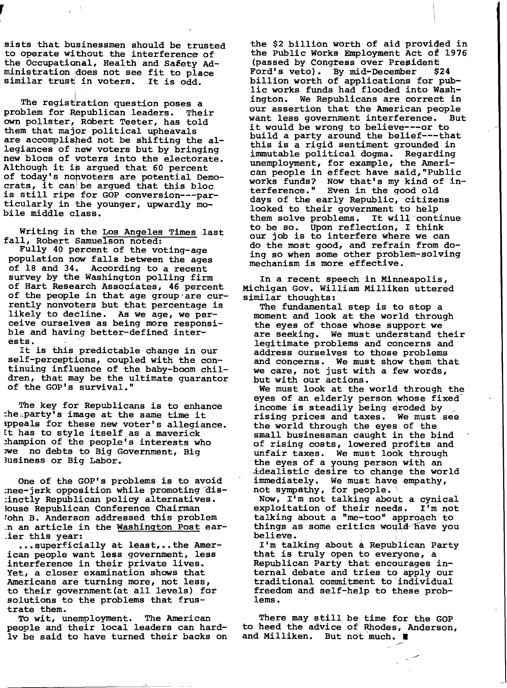sists that businessmen should be trusted to operate without the interference of the Occupational, Health and Safety Administration idoes not see fit to place ministration does not see fit to pla-<br>similar trust in voters. It is odd.<br>The registration question poses a

The registration question poses a<br>problem for Republican leaders. Their own pollster, Robert Teeter, has told them that majbr political upheavals are accomplished not be shifting the allegiances of new voters but by bringing new blocs of voters into the electorate.<br>Although it is argued that 60 percent of today's nonvoters are potential Democrats, it can be argued that this bloc is still ripe for GOP conversion---particularly in the younger, upwardly mobile middle class.

Writing in the Los Angeles Times last<br>fall, Robert Samuelson noted:

Fully 40 percent of the voting-age popUlation now falls between the ages of 18 and 34. According to a recent survey by the Washington polling firm of Hart Research Associates, 46 percent of the people in that age group'are currently nonvoters but that percentage is likely to decline. As we age, we perceive ourselves as being more responsible and having better-defined interests.

It is this predictable change in our self-perceptions, coupled with the continuing influence of the baby-boom children, that may be the ultimate guarantor of the GOP's survival."

The key for Republicans is to enhance  $the$   $\_party$  s image at the same time it ippeals for these new voter's allegiance. It has to style itself as a maverick ~hampion of the people's interests who )we no debts to Big Government, Big 3usiness or Big Labor.

One of the GOP's problems is to avoid :nee-jerk opposition while promoting dis-:inctly Republican policy alternatives. louse Republican Conference Chairman rohn B. Anderson addressed this problem .n an article in the Washington Post ear- .ier this year:

••• superficially at least, •• the American people want less government, less interference in their private lives. Yet, a closer examination shows that Americans are turning more, not less, Americans are curning more, not less,<br>to their government (at all levels) for solutions to the problems that frustrate them.

To wit, unemployment. The American people and their local leaders can hard-Iv be said to have turned their backs on

the \$2 billion worth of aid proviqed in the Public Works Employment Act of 1976 (passed by Congress over President<br>Ford's veto). By mid-December \$24 Ford's veto). By mid-December billion worth of applications for public works funds had flooded into Wash-<br>ington. We Republicans are correct in We Republicans are correct in our assertion that the American people<br>want less government interference. But want less government interference. it would be wrong to believe---or to build a party around the belief---that this is a rigid sentiment grounded in immutable political dogma. Regarding unemployment, for example, the American people in effect have said,"Public works funds? Now that's my kind of interference. " Even in the good old days of the early Republic, citizens looked to their government to help them solve problems. It will continue to be so. Upon reflection, I think our job is to interfere where we can do the most good, and refrain from doing so when some other problem-solving mechanism is more effective.

In a recent speech in Minneapolis, Michigan Gov. William Milliken uttered similar thoughts:

The fundamental step is to stop a moment and look at the world through the eyes of those whose support we<br>are seeking. We must understand the We must understand their legitimate problems and concerns and address ourselves to those problems and concerns. We must show them that we care, not just with a few words, but with our actions.

We must look at the world through the eyes of an elderly person whose fixedincome is steadily being eroded by<br>rising prices and taxes. We must see the world through the eyes of the small businessman caught in the bind of rising costs, lowered profits and unfair taxes. We must look through<br>the eyes of a young person with an idealistic desire to change the world immediately. We must have empathy, not sympathy, for people.

Now, I'm not talking about a cynical exploitation of their needs. I'm not talking about a "me-too" appr09ch to things as some critics would have you<br>believe. not sympathy, for people.<br>Now, I'm not talking about a<br>exploitation of their needs.<br>talking about a "me-too" appro<br>things as some critics would-1<br>believe.<br>I'm talking about a Republic.

I'm talking about a Republican Party that is truly open to everyone, a Republican Party that encourages internal debate and tries to apply our traditional commitment to 'individual freedom and self-help to these problems.

There may still be time for the GOP to heed the advice of Rhodes, Anderson, and Milliken. But not much.  $\blacksquare$